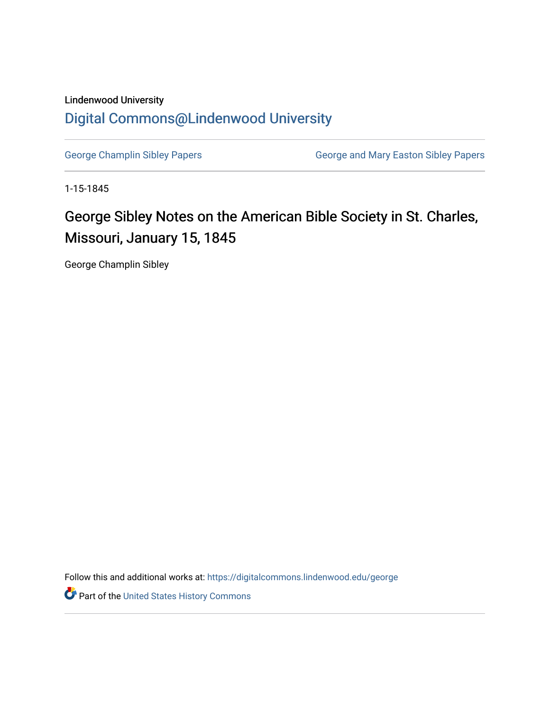## Lindenwood University [Digital Commons@Lindenwood University](https://digitalcommons.lindenwood.edu/)

[George Champlin Sibley Papers](https://digitalcommons.lindenwood.edu/george) **George and Mary Easton Sibley Papers** George and Mary Easton Sibley Papers

1-15-1845

## George Sibley Notes on the American Bible Society in St. Charles, Missouri, January 15, 1845

George Champlin Sibley

Follow this and additional works at: [https://digitalcommons.lindenwood.edu/george](https://digitalcommons.lindenwood.edu/george?utm_source=digitalcommons.lindenwood.edu%2Fgeorge%2F255&utm_medium=PDF&utm_campaign=PDFCoverPages)

Part of the [United States History Commons](http://network.bepress.com/hgg/discipline/495?utm_source=digitalcommons.lindenwood.edu%2Fgeorge%2F255&utm_medium=PDF&utm_campaign=PDFCoverPages)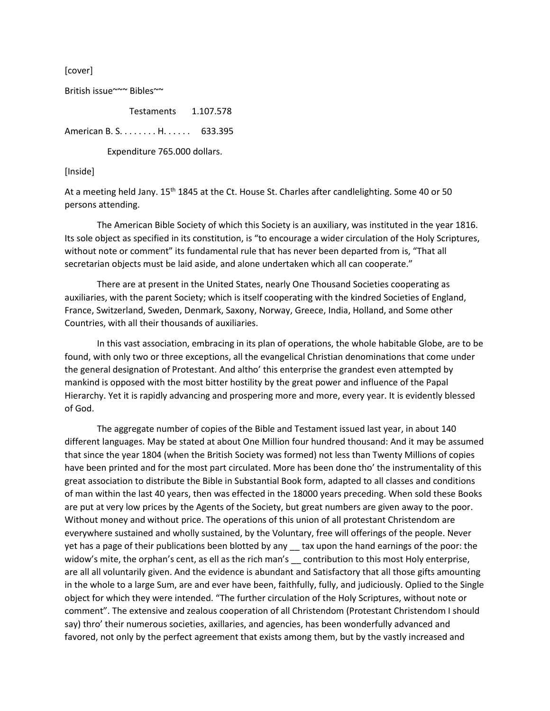[cover]

British issue~~~ Bibles~~

Testaments 1.107.578

American B. S. . . . . . . . H. . . . . . 633.395

Expenditure 765.000 dollars.

## [Inside]

At a meeting held Jany. 15<sup>th</sup> 1845 at the Ct. House St. Charles after candlelighting. Some 40 or 50 persons attending.

The American Bible Society of which this Society is an auxiliary, was instituted in the year 1816. Its sole object as specified in its constitution, is "to encourage a wider circulation of the Holy Scriptures, without note or comment" its fundamental rule that has never been departed from is, "That all secretarian objects must be laid aside, and alone undertaken which all can cooperate."

There are at present in the United States, nearly One Thousand Societies cooperating as auxiliaries, with the parent Society; which is itself cooperating with the kindred Societies of England, France, Switzerland, Sweden, Denmark, Saxony, Norway, Greece, India, Holland, and Some other Countries, with all their thousands of auxiliaries.

In this vast association, embracing in its plan of operations, the whole habitable Globe, are to be found, with only two or three exceptions, all the evangelical Christian denominations that come under the general designation of Protestant. And altho' this enterprise the grandest even attempted by mankind is opposed with the most bitter hostility by the great power and influence of the Papal Hierarchy. Yet it is rapidly advancing and prospering more and more, every year. It is evidently blessed of God.

The aggregate number of copies of the Bible and Testament issued last year, in about 140 different languages. May be stated at about One Million four hundred thousand: And it may be assumed that since the year 1804 (when the British Society was formed) not less than Twenty Millions of copies have been printed and for the most part circulated. More has been done tho' the instrumentality of this great association to distribute the Bible in Substantial Book form, adapted to all classes and conditions of man within the last 40 years, then was effected in the 18000 years preceding. When sold these Books are put at very low prices by the Agents of the Society, but great numbers are given away to the poor. Without money and without price. The operations of this union of all protestant Christendom are everywhere sustained and wholly sustained, by the Voluntary, free will offerings of the people. Never yet has a page of their publications been blotted by any \_\_ tax upon the hand earnings of the poor: the widow's mite, the orphan's cent, as ell as the rich man's secontribution to this most Holy enterprise, are all all voluntarily given. And the evidence is abundant and Satisfactory that all those gifts amounting in the whole to a large Sum, are and ever have been, faithfully, fully, and judiciously. Oplied to the Single object for which they were intended. "The further circulation of the Holy Scriptures, without note or comment". The extensive and zealous cooperation of all Christendom (Protestant Christendom I should say) thro' their numerous societies, axillaries, and agencies, has been wonderfully advanced and favored, not only by the perfect agreement that exists among them, but by the vastly increased and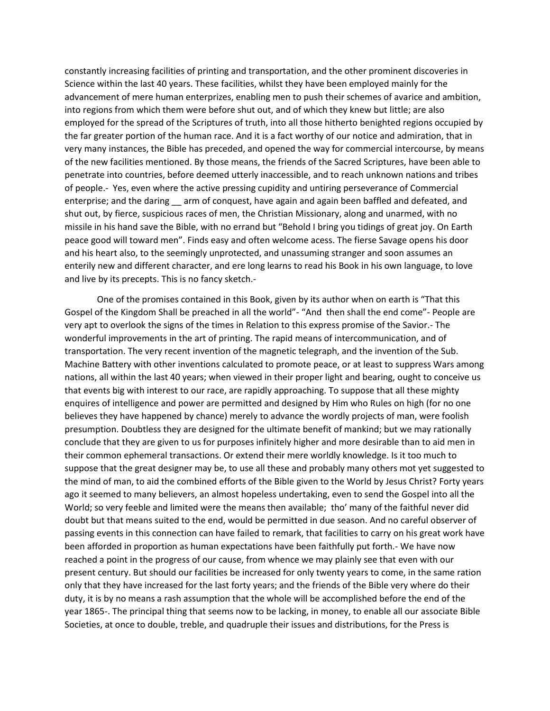constantly increasing facilities of printing and transportation, and the other prominent discoveries in Science within the last 40 years. These facilities, whilst they have been employed mainly for the advancement of mere human enterprizes, enabling men to push their schemes of avarice and ambition, into regions from which them were before shut out, and of which they knew but little; are also employed for the spread of the Scriptures of truth, into all those hitherto benighted regions occupied by the far greater portion of the human race. And it is a fact worthy of our notice and admiration, that in very many instances, the Bible has preceded, and opened the way for commercial intercourse, by means of the new facilities mentioned. By those means, the friends of the Sacred Scriptures, have been able to penetrate into countries, before deemed utterly inaccessible, and to reach unknown nations and tribes of people.- Yes, even where the active pressing cupidity and untiring perseverance of Commercial enterprise; and the daring arm of conquest, have again and again been baffled and defeated, and shut out, by fierce, suspicious races of men, the Christian Missionary, along and unarmed, with no missile in his hand save the Bible, with no errand but "Behold I bring you tidings of great joy. On Earth peace good will toward men". Finds easy and often welcome acess. The fierse Savage opens his door and his heart also, to the seemingly unprotected, and unassuming stranger and soon assumes an enterily new and different character, and ere long learns to read his Book in his own language, to love and live by its precepts. This is no fancy sketch.-

One of the promises contained in this Book, given by its author when on earth is "That this Gospel of the Kingdom Shall be preached in all the world"- "And then shall the end come"- People are very apt to overlook the signs of the times in Relation to this express promise of the Savior.- The wonderful improvements in the art of printing. The rapid means of intercommunication, and of transportation. The very recent invention of the magnetic telegraph, and the invention of the Sub. Machine Battery with other inventions calculated to promote peace, or at least to suppress Wars among nations, all within the last 40 years; when viewed in their proper light and bearing, ought to conceive us that events big with interest to our race, are rapidly approaching. To suppose that all these mighty enquires of intelligence and power are permitted and designed by Him who Rules on high (for no one believes they have happened by chance) merely to advance the wordly projects of man, were foolish presumption. Doubtless they are designed for the ultimate benefit of mankind; but we may rationally conclude that they are given to us for purposes infinitely higher and more desirable than to aid men in their common ephemeral transactions. Or extend their mere worldly knowledge. Is it too much to suppose that the great designer may be, to use all these and probably many others mot yet suggested to the mind of man, to aid the combined efforts of the Bible given to the World by Jesus Christ? Forty years ago it seemed to many believers, an almost hopeless undertaking, even to send the Gospel into all the World; so very feeble and limited were the means then available; tho' many of the faithful never did doubt but that means suited to the end, would be permitted in due season. And no careful observer of passing events in this connection can have failed to remark, that facilities to carry on his great work have been afforded in proportion as human expectations have been faithfully put forth.- We have now reached a point in the progress of our cause, from whence we may plainly see that even with our present century. But should our facilities be increased for only twenty years to come, in the same ration only that they have increased for the last forty years; and the friends of the Bible very where do their duty, it is by no means a rash assumption that the whole will be accomplished before the end of the year 1865-. The principal thing that seems now to be lacking, in money, to enable all our associate Bible Societies, at once to double, treble, and quadruple their issues and distributions, for the Press is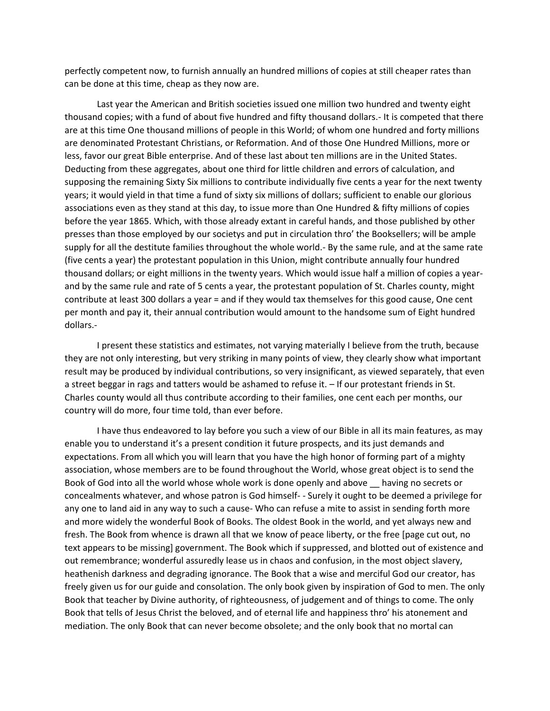perfectly competent now, to furnish annually an hundred millions of copies at still cheaper rates than can be done at this time, cheap as they now are.

Last year the American and British societies issued one million two hundred and twenty eight thousand copies; with a fund of about five hundred and fifty thousand dollars.- It is competed that there are at this time One thousand millions of people in this World; of whom one hundred and forty millions are denominated Protestant Christians, or Reformation. And of those One Hundred Millions, more or less, favor our great Bible enterprise. And of these last about ten millions are in the United States. Deducting from these aggregates, about one third for little children and errors of calculation, and supposing the remaining Sixty Six millions to contribute individually five cents a year for the next twenty years; it would yield in that time a fund of sixty six millions of dollars; sufficient to enable our glorious associations even as they stand at this day, to issue more than One Hundred & fifty millions of copies before the year 1865. Which, with those already extant in careful hands, and those published by other presses than those employed by our societys and put in circulation thro' the Booksellers; will be ample supply for all the destitute families throughout the whole world.- By the same rule, and at the same rate (five cents a year) the protestant population in this Union, might contribute annually four hundred thousand dollars; or eight millions in the twenty years. Which would issue half a million of copies a yearand by the same rule and rate of 5 cents a year, the protestant population of St. Charles county, might contribute at least 300 dollars a year = and if they would tax themselves for this good cause, One cent per month and pay it, their annual contribution would amount to the handsome sum of Eight hundred dollars.-

I present these statistics and estimates, not varying materially I believe from the truth, because they are not only interesting, but very striking in many points of view, they clearly show what important result may be produced by individual contributions, so very insignificant, as viewed separately, that even a street beggar in rags and tatters would be ashamed to refuse it. – If our protestant friends in St. Charles county would all thus contribute according to their families, one cent each per months, our country will do more, four time told, than ever before.

I have thus endeavored to lay before you such a view of our Bible in all its main features, as may enable you to understand it's a present condition it future prospects, and its just demands and expectations. From all which you will learn that you have the high honor of forming part of a mighty association, whose members are to be found throughout the World, whose great object is to send the Book of God into all the world whose whole work is done openly and above \_\_ having no secrets or concealments whatever, and whose patron is God himself- - Surely it ought to be deemed a privilege for any one to land aid in any way to such a cause- Who can refuse a mite to assist in sending forth more and more widely the wonderful Book of Books. The oldest Book in the world, and yet always new and fresh. The Book from whence is drawn all that we know of peace liberty, or the free [page cut out, no text appears to be missing] government. The Book which if suppressed, and blotted out of existence and out remembrance; wonderful assuredly lease us in chaos and confusion, in the most object slavery, heathenish darkness and degrading ignorance. The Book that a wise and merciful God our creator, has freely given us for our guide and consolation. The only book given by inspiration of God to men. The only Book that teacher by Divine authority, of righteousness, of judgement and of things to come. The only Book that tells of Jesus Christ the beloved, and of eternal life and happiness thro' his atonement and mediation. The only Book that can never become obsolete; and the only book that no mortal can